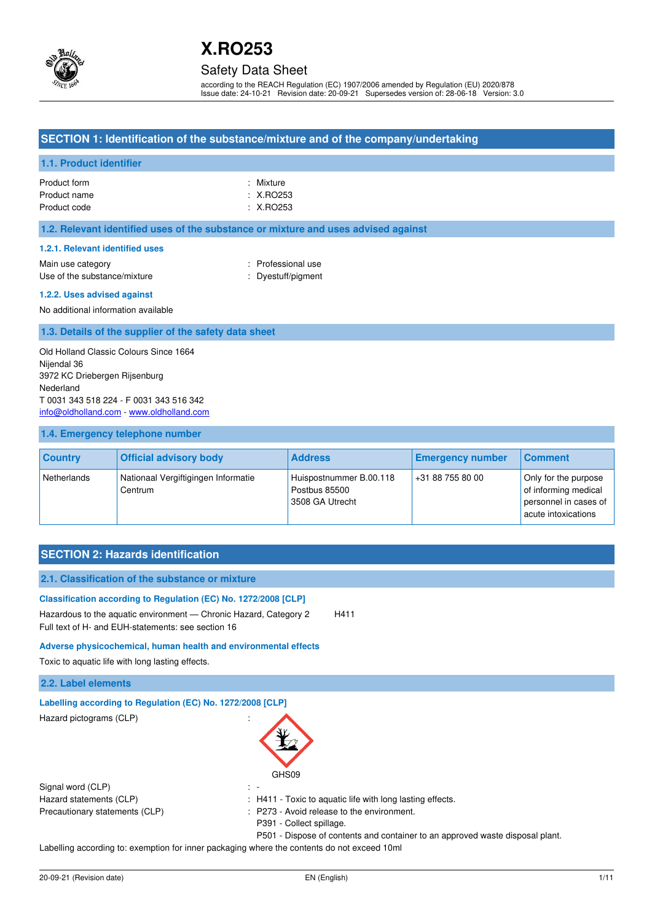

## Safety Data Sheet

according to the REACH Regulation (EC) 1907/2006 amended by Regulation (EU) 2020/878 Issue date: 24-10-21 Revision date: 20-09-21 Supersedes version of: 28-06-18 Version: 3.0

## **SECTION 1: Identification of the substance/mixture and of the company/undertaking**

## **1.1. Product identifier**

| Product form | : Mixture            |
|--------------|----------------------|
| Product name | : X.RO253            |
| Product code | $\therefore$ X.RO253 |

## **1.2. Relevant identified uses of the substance or mixture and uses advised against**

### **1.2.1. Relevant identified uses**

Main use category **Example 20** and the Main use category of the Main use the Main use Use of the substance/mixture  $\qquad \qquad :$  Dyestuff/pigment

#### **1.2.2. Uses advised against**

No additional information available

## **1.3. Details of the supplier of the safety data sheet**

Old Holland Classic Colours Since 1664 Nijendal 36 3972 KC Driebergen Rijsenburg Nederland T 0031 343 518 224 - F 0031 343 516 342 [info@oldholland.com](mailto:info@oldholland.com) - [www.oldholland.com](http://www.oldholland.com/)

## **1.4. Emergency telephone number**

| <b>Country</b> | <b>Official advisory body</b>                  | <b>Address</b>                                              | <b>Emergency number</b> | <b>Comment</b>                                                                               |
|----------------|------------------------------------------------|-------------------------------------------------------------|-------------------------|----------------------------------------------------------------------------------------------|
| Netherlands    | Nationaal Vergiftigingen Informatie<br>Centrum | Huispostnummer B.00.118<br>Postbus 85500<br>3508 GA Utrecht | +31 88 755 80 00        | Only for the purpose<br>of informing medical<br>personnel in cases of<br>acute intoxications |

## **SECTION 2: Hazards identification**

| 2.1. Classification of the substance or mixture                                                                                                                                            |                          |                                                                               |
|--------------------------------------------------------------------------------------------------------------------------------------------------------------------------------------------|--------------------------|-------------------------------------------------------------------------------|
| Classification according to Regulation (EC) No. 1272/2008 [CLP]<br>Hazardous to the aquatic environment — Chronic Hazard, Category 2<br>Full text of H- and EUH-statements: see section 16 |                          | H411                                                                          |
| Adverse physicochemical, human health and environmental effects                                                                                                                            |                          |                                                                               |
| Toxic to aquatic life with long lasting effects.                                                                                                                                           |                          |                                                                               |
| 2.2. Label elements                                                                                                                                                                        |                          |                                                                               |
| Labelling according to Regulation (EC) No. 1272/2008 [CLP]                                                                                                                                 |                          |                                                                               |
| Hazard pictograms (CLP)                                                                                                                                                                    | GHS09                    |                                                                               |
| Signal word (CLP)                                                                                                                                                                          |                          |                                                                               |
| Hazard statements (CLP)                                                                                                                                                                    |                          | : H411 - Toxic to aquatic life with long lasting effects.                     |
| Precautionary statements (CLP)                                                                                                                                                             |                          | : P273 - Avoid release to the environment.                                    |
|                                                                                                                                                                                            | P391 - Collect spillage. |                                                                               |
|                                                                                                                                                                                            |                          | P501 - Dispose of contents and container to an approved waste disposal plant. |
| Lobelling according to cusmation fer innovaceological upon the contacto de not overall tomb                                                                                                |                          |                                                                               |

Labelling according to: exemption for inner packaging where the contents do not exceed 10ml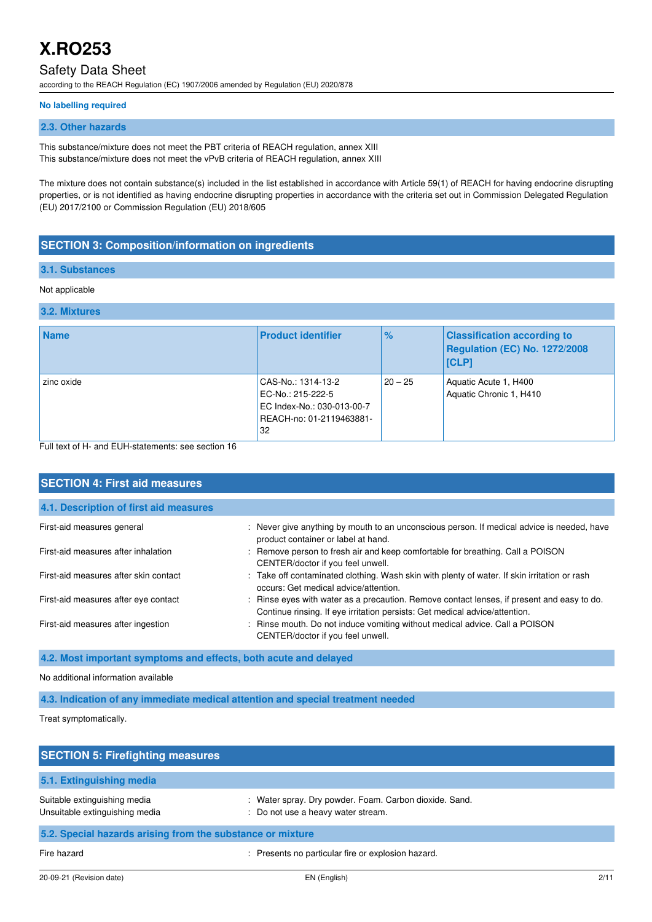## Safety Data Sheet

according to the REACH Regulation (EC) 1907/2006 amended by Regulation (EU) 2020/878

### **No labelling required**

## **2.3. Other hazards**

This substance/mixture does not meet the PBT criteria of REACH regulation, annex XIII This substance/mixture does not meet the vPvB criteria of REACH regulation, annex XIII

The mixture does not contain substance(s) included in the list established in accordance with Article 59(1) of REACH for having endocrine disrupting properties, or is not identified as having endocrine disrupting properties in accordance with the criteria set out in Commission Delegated Regulation (EU) 2017/2100 or Commission Regulation (EU) 2018/605

## **SECTION 3: Composition/information on ingredients**

### **3.1. Substances**

### Not applicable

## **3.2. Mixtures**

| <b>Name</b>                                                                                                                                                                                                                                                                        | <b>Product identifier</b>                                                                               | $\frac{1}{2}$ | <b>Classification according to</b><br>Regulation (EC) No. 1272/2008<br>[CLP] |
|------------------------------------------------------------------------------------------------------------------------------------------------------------------------------------------------------------------------------------------------------------------------------------|---------------------------------------------------------------------------------------------------------|---------------|------------------------------------------------------------------------------|
| zinc oxide<br>$\Box$ . If the set of the constant $\Box$ is the contract of the constant of $\Box$ and $\Box$ and $\Box$ and $\Box$ and $\Box$ and $\Box$ and $\Box$ and $\Box$ and $\Box$ and $\Box$ and $\Box$ and $\Box$ and $\Box$ and $\Box$ and $\Box$ and $\Box$ and $\Box$ | CAS-No.: 1314-13-2<br>EC-No.: 215-222-5<br>EC Index-No.: 030-013-00-7<br>REACH-no: 01-2119463881-<br>32 | $20 - 25$     | Aquatic Acute 1, H400<br>Aquatic Chronic 1, H410                             |

Full text of H- and EUH-statements: see section 16

| <b>SECTION 4: First aid measures</b>   |                                                                                                                                                                           |  |  |
|----------------------------------------|---------------------------------------------------------------------------------------------------------------------------------------------------------------------------|--|--|
| 4.1. Description of first aid measures |                                                                                                                                                                           |  |  |
| First-aid measures general             | : Never give anything by mouth to an unconscious person. If medical advice is needed, have<br>product container or label at hand.                                         |  |  |
| First-aid measures after inhalation    | : Remove person to fresh air and keep comfortable for breathing. Call a POISON<br>CENTER/doctor if you feel unwell.                                                       |  |  |
| First-aid measures after skin contact  | : Take off contaminated clothing. Wash skin with plenty of water. If skin irritation or rash<br>occurs: Get medical advice/attention.                                     |  |  |
| First-aid measures after eye contact   | : Rinse eyes with water as a precaution. Remove contact lenses, if present and easy to do.<br>Continue rinsing. If eye irritation persists: Get medical advice/attention. |  |  |
| First-aid measures after ingestion     | : Rinse mouth. Do not induce vomiting without medical advice. Call a POISON<br>CENTER/doctor if you feel unwell.                                                          |  |  |

**4.2. Most important symptoms and effects, both acute and delayed** 

## No additional information available

**4.3. Indication of any immediate medical attention and special treatment needed** 

Treat symptomatically.

| <b>SECTION 5: Firefighting measures</b>                        |                                                                                              |  |
|----------------------------------------------------------------|----------------------------------------------------------------------------------------------|--|
| 5.1. Extinguishing media                                       |                                                                                              |  |
| Suitable extinguishing media<br>Unsuitable extinguishing media | : Water spray. Dry powder. Foam. Carbon dioxide. Sand.<br>: Do not use a heavy water stream. |  |
| 5.2. Special hazards arising from the substance or mixture     |                                                                                              |  |
| Fire hazard                                                    | Presents no particular fire or explosion hazard.                                             |  |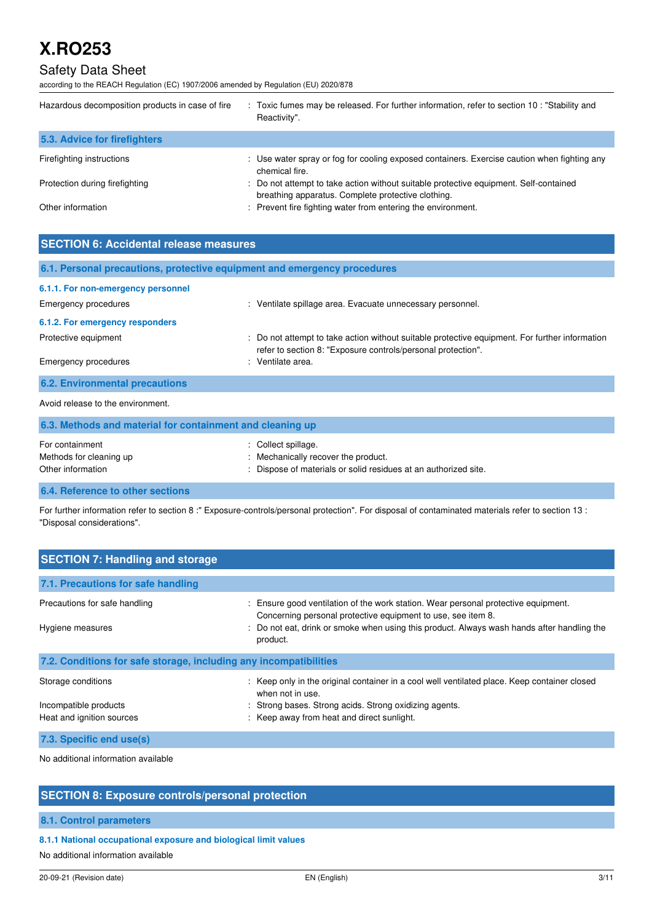## Safety Data Sheet

according to the REACH Regulation (EC) 1907/2006 amended by Regulation (EU) 2020/878

| Hazardous decomposition products in case of fire | : Toxic fumes may be released. For further information, refer to section 10: "Stability and<br>Reactivity".                                 |  |  |
|--------------------------------------------------|---------------------------------------------------------------------------------------------------------------------------------------------|--|--|
| 5.3. Advice for firefighters                     |                                                                                                                                             |  |  |
| Firefighting instructions                        | : Use water spray or fog for cooling exposed containers. Exercise caution when fighting any<br>chemical fire.                               |  |  |
| Protection during firefighting                   | : Do not attempt to take action without suitable protective equipment. Self-contained<br>breathing apparatus. Complete protective clothing. |  |  |
| Other information                                | : Prevent fire fighting water from entering the environment.                                                                                |  |  |

| <b>SECTION 6: Accidental release measures</b>                            |                                                                                                                                                                |  |  |
|--------------------------------------------------------------------------|----------------------------------------------------------------------------------------------------------------------------------------------------------------|--|--|
| 6.1. Personal precautions, protective equipment and emergency procedures |                                                                                                                                                                |  |  |
| 6.1.1. For non-emergency personnel                                       |                                                                                                                                                                |  |  |
| Emergency procedures                                                     | : Ventilate spillage area. Evacuate unnecessary personnel.                                                                                                     |  |  |
| 6.1.2. For emergency responders                                          |                                                                                                                                                                |  |  |
| Protective equipment                                                     | : Do not attempt to take action without suitable protective equipment. For further information<br>refer to section 8: "Exposure controls/personal protection". |  |  |
| <b>Emergency procedures</b>                                              | : Ventilate area.                                                                                                                                              |  |  |
| <b>6.2. Environmental precautions</b>                                    |                                                                                                                                                                |  |  |
| Avoid release to the environment.                                        |                                                                                                                                                                |  |  |
| 6.3. Methods and material for containment and cleaning up                |                                                                                                                                                                |  |  |
| For containment                                                          | . Collect enillage                                                                                                                                             |  |  |

## For containment  $\qquad \qquad$ : Collect spillage. Methods for cleaning up **interpretionally recover the product.** Set of the product of the product. Other information **contrary to the contrary of the Contrary Contrary Contrary Contrary Contrary Contrary Contrary Contrary Contrary Contrary Contrary Contrary Contrary Contrary Contrary Contrary Contrary Contrary Contrary**

## **6.4. Reference to other sections**

For further information refer to section 8 :" Exposure-controls/personal protection". For disposal of contaminated materials refer to section 13 : "Disposal considerations".

| <b>SECTION 7: Handling and storage</b>                            |                                                                                                                                                  |  |  |
|-------------------------------------------------------------------|--------------------------------------------------------------------------------------------------------------------------------------------------|--|--|
| 7.1. Precautions for safe handling                                |                                                                                                                                                  |  |  |
| Precautions for safe handling                                     | Ensure good ventilation of the work station. Wear personal protective equipment.<br>Concerning personal protective equipment to use, see item 8. |  |  |
| Hygiene measures                                                  | : Do not eat, drink or smoke when using this product. Always wash hands after handling the<br>product.                                           |  |  |
| 7.2. Conditions for safe storage, including any incompatibilities |                                                                                                                                                  |  |  |
| Storage conditions                                                | : Keep only in the original container in a cool well ventilated place. Keep container closed<br>when not in use.                                 |  |  |
| Incompatible products                                             | Strong bases. Strong acids. Strong oxidizing agents.                                                                                             |  |  |
| Heat and ignition sources                                         | : Keep away from heat and direct sunlight.                                                                                                       |  |  |
| 7.3. Specific end use(s)                                          |                                                                                                                                                  |  |  |

No additional information available

## **SECTION 8: Exposure controls/personal protection**

## **8.1. Control parameters**

## **8.1.1 National occupational exposure and biological limit values**

No additional information available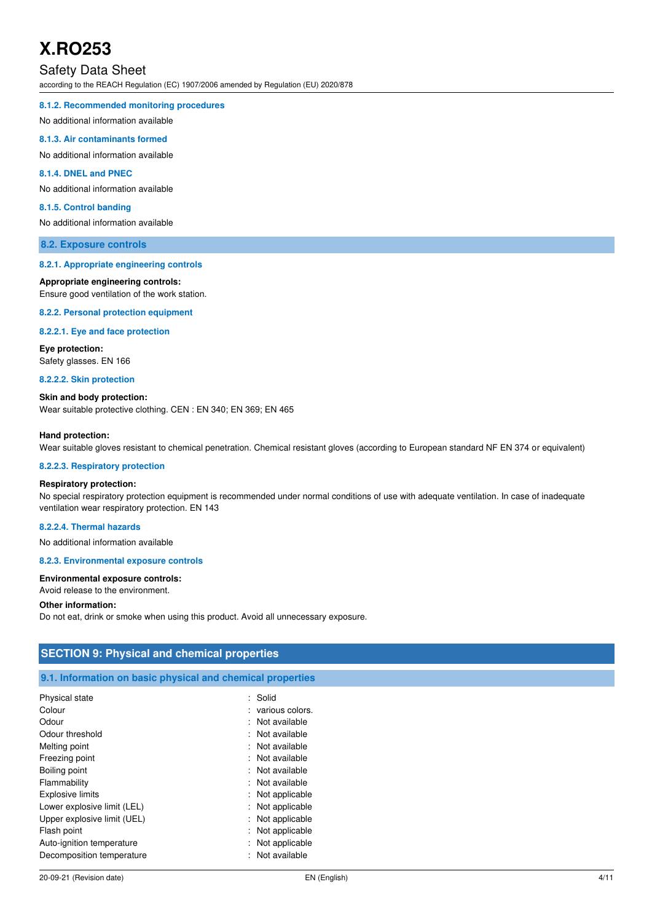## Safety Data Sheet

according to the REACH Regulation (EC) 1907/2006 amended by Regulation (EU) 2020/878

#### **8.1.2. Recommended monitoring procedures**

No additional information available

### **8.1.3. Air contaminants formed**

No additional information available

## **8.1.4. DNEL and PNEC**

No additional information available

### **8.1.5. Control banding**

No additional information available

### **8.2. Exposure controls**

#### **8.2.1. Appropriate engineering controls**

#### **Appropriate engineering controls:**

Ensure good ventilation of the work station.

**8.2.2. Personal protection equipment** 

#### **8.2.2.1. Eye and face protection**

**Eye protection:**  Safety glasses. EN 166

**8.2.2.2. Skin protection** 

**Skin and body protection:**  Wear suitable protective clothing. CEN : EN 340; EN 369; EN 465

#### **Hand protection:**

Wear suitable gloves resistant to chemical penetration. Chemical resistant gloves (according to European standard NF EN 374 or equivalent)

#### **8.2.2.3. Respiratory protection**

### **Respiratory protection:**

No special respiratory protection equipment is recommended under normal conditions of use with adequate ventilation. In case of inadequate ventilation wear respiratory protection. EN 143

### **8.2.2.4. Thermal hazards**

No additional information available

#### **8.2.3. Environmental exposure controls**

#### **Environmental exposure controls:**

Avoid release to the environment.

#### **Other information:**

Do not eat, drink or smoke when using this product. Avoid all unnecessary exposure.

| <b>SECTION 9: Physical and chemical properties</b>         |                     |  |
|------------------------------------------------------------|---------------------|--|
|                                                            |                     |  |
| 9.1. Information on basic physical and chemical properties |                     |  |
| Physical state                                             | : Solid             |  |
| Colour                                                     | : various colors.   |  |
| Odour                                                      | : Not available     |  |
| Odour threshold                                            | : Not available     |  |
| Melting point                                              | : Not available     |  |
| Freezing point                                             | : Not available     |  |
| Boiling point                                              | : Not available     |  |
| Flammability                                               | : Not available     |  |
| <b>Explosive limits</b>                                    | : Not applicable    |  |
| Lower explosive limit (LEL)                                | : Not applicable    |  |
| Upper explosive limit (UEL)                                | : Not applicable    |  |
| Flash point                                                | : Not applicable    |  |
| Auto-ignition temperature                                  | Not applicable<br>÷ |  |
| Decomposition temperature                                  | : Not available     |  |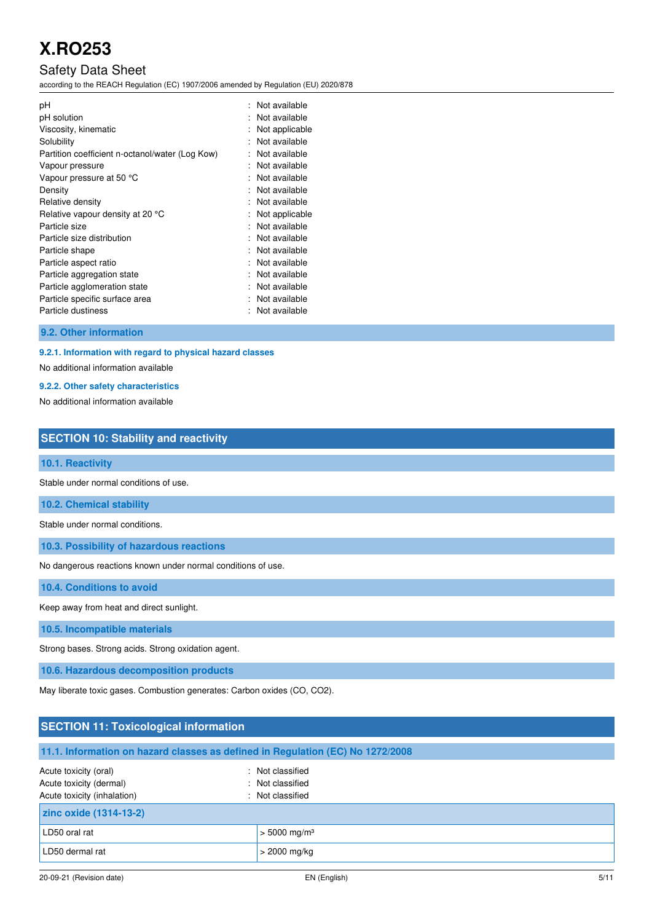## Safety Data Sheet

according to the REACH Regulation (EC) 1907/2006 amended by Regulation (EU) 2020/878

| рH<br>۰.<br>pH solution<br>Viscosity, kinematic<br>Solubility<br>Partition coefficient n-octanol/water (Log Kow)<br>Vapour pressure<br>Vapour pressure at 50 °C<br>Density<br>Relative density<br>Relative vapour density at 20 °C<br>Particle size<br>Particle size distribution<br>Particle shape<br>Particle aspect ratio<br>Particle aggregation state<br>Particle agglomeration state<br>Particle specific surface area | ٠<br>٠<br>$\blacksquare$<br>٠<br>$\blacksquare$<br>$\bullet$<br>$\bullet$<br>$\bullet$<br>$\bullet$ | Not available<br>Not applicable<br>Not available<br>Not available<br>Not available<br>Not available<br>Not available<br>Not available<br>Not applicable<br>Not available<br>Not available<br>Not available<br>Not available<br>Not available<br>Not available<br>Not available |
|------------------------------------------------------------------------------------------------------------------------------------------------------------------------------------------------------------------------------------------------------------------------------------------------------------------------------------------------------------------------------------------------------------------------------|-----------------------------------------------------------------------------------------------------|--------------------------------------------------------------------------------------------------------------------------------------------------------------------------------------------------------------------------------------------------------------------------------|
| Particle dustiness                                                                                                                                                                                                                                                                                                                                                                                                           |                                                                                                     | Not available                                                                                                                                                                                                                                                                  |
|                                                                                                                                                                                                                                                                                                                                                                                                                              |                                                                                                     |                                                                                                                                                                                                                                                                                |

## **9.2. Other information**

## **9.2.1. Information with regard to physical hazard classes**

No additional information available

#### **9.2.2. Other safety characteristics**

No additional information available

## **SECTION 10: Stability and reactivity**

## **10.1. Reactivity**

Stable under normal conditions of use.

**10.2. Chemical stability** 

Stable under normal conditions.

**10.3. Possibility of hazardous reactions** 

No dangerous reactions known under normal conditions of use.

**10.4. Conditions to avoid** 

Keep away from heat and direct sunlight.

**10.5. Incompatible materials** 

Strong bases. Strong acids. Strong oxidation agent.

**10.6. Hazardous decomposition products** 

May liberate toxic gases. Combustion generates: Carbon oxides (CO, CO2).

## **SECTION 11: Toxicological information**

| 11.1. Information on hazard classes as defined in Regulation (EC) No 1272/2008  |                                                          |  |
|---------------------------------------------------------------------------------|----------------------------------------------------------|--|
| Acute toxicity (oral)<br>Acute toxicity (dermal)<br>Acute toxicity (inhalation) | : Not classified<br>: Not classified<br>: Not classified |  |
| zinc oxide (1314-13-2)                                                          |                                                          |  |
| LD50 oral rat                                                                   | $> 5000$ mg/m <sup>3</sup>                               |  |
| LD50 dermal rat                                                                 | > 2000 mg/kg                                             |  |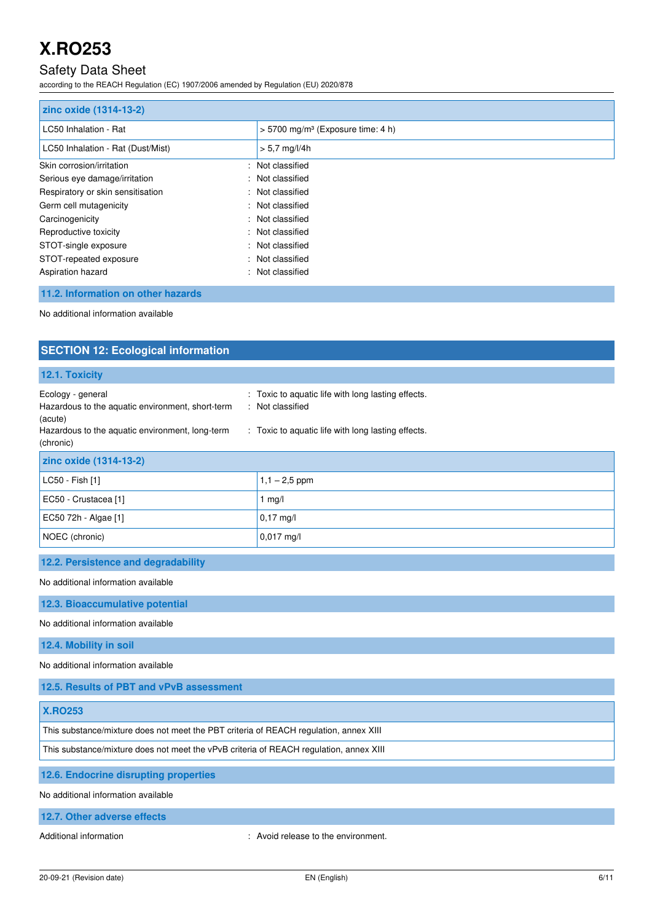## Safety Data Sheet

according to the REACH Regulation (EC) 1907/2006 amended by Regulation (EU) 2020/878

| zinc oxide (1314-13-2)            |                                                 |  |  |
|-----------------------------------|-------------------------------------------------|--|--|
| LC50 Inhalation - Rat             | $> 5700$ mg/m <sup>3</sup> (Exposure time: 4 h) |  |  |
| LC50 Inhalation - Rat (Dust/Mist) | $> 5.7$ mg/l/4h                                 |  |  |
| Skin corrosion/irritation         | : Not classified                                |  |  |
| Serious eye damage/irritation     | : Not classified                                |  |  |
| Respiratory or skin sensitisation | : Not classified                                |  |  |
| Germ cell mutagenicity            | : Not classified                                |  |  |
| Carcinogenicity                   | : Not classified                                |  |  |
| Reproductive toxicity<br>÷        | Not classified                                  |  |  |
| STOT-single exposure              | : Not classified                                |  |  |
| STOT-repeated exposure<br>÷.      | Not classified                                  |  |  |
| Aspiration hazard<br>÷            | Not classified                                  |  |  |

## **11.2. Information on other hazards**

No additional information available

| <b>SECTION 12: Ecological information</b>                                                                                                                                                                                                                                        |                                     |  |  |
|----------------------------------------------------------------------------------------------------------------------------------------------------------------------------------------------------------------------------------------------------------------------------------|-------------------------------------|--|--|
| 12.1. Toxicity                                                                                                                                                                                                                                                                   |                                     |  |  |
| Ecology - general<br>: Toxic to aquatic life with long lasting effects.<br>Hazardous to the aquatic environment, short-term<br>: Not classified<br>(acute)<br>Hazardous to the aquatic environment, long-term<br>: Toxic to aquatic life with long lasting effects.<br>(chronic) |                                     |  |  |
| zinc oxide (1314-13-2)                                                                                                                                                                                                                                                           |                                     |  |  |
| LC50 - Fish [1]                                                                                                                                                                                                                                                                  | $1,1 - 2,5$ ppm                     |  |  |
| EC50 - Crustacea [1]                                                                                                                                                                                                                                                             | $1$ mg/                             |  |  |
| EC50 72h - Algae [1]                                                                                                                                                                                                                                                             | $0,17$ mg/l                         |  |  |
| NOEC (chronic)                                                                                                                                                                                                                                                                   | $0,017$ mg/l                        |  |  |
| 12.2. Persistence and degradability                                                                                                                                                                                                                                              |                                     |  |  |
| No additional information available                                                                                                                                                                                                                                              |                                     |  |  |
| 12.3. Bioaccumulative potential                                                                                                                                                                                                                                                  |                                     |  |  |
| No additional information available                                                                                                                                                                                                                                              |                                     |  |  |
| 12.4. Mobility in soil                                                                                                                                                                                                                                                           |                                     |  |  |
| No additional information available                                                                                                                                                                                                                                              |                                     |  |  |
| 12.5. Results of PBT and vPvB assessment                                                                                                                                                                                                                                         |                                     |  |  |
| <b>X.RO253</b>                                                                                                                                                                                                                                                                   |                                     |  |  |
| This substance/mixture does not meet the PBT criteria of REACH regulation, annex XIII                                                                                                                                                                                            |                                     |  |  |
| This substance/mixture does not meet the vPvB criteria of REACH regulation, annex XIII                                                                                                                                                                                           |                                     |  |  |
| 12.6. Endocrine disrupting properties                                                                                                                                                                                                                                            |                                     |  |  |
| No additional information available                                                                                                                                                                                                                                              |                                     |  |  |
| 12.7. Other adverse effects                                                                                                                                                                                                                                                      |                                     |  |  |
| Additional information                                                                                                                                                                                                                                                           | : Avoid release to the environment. |  |  |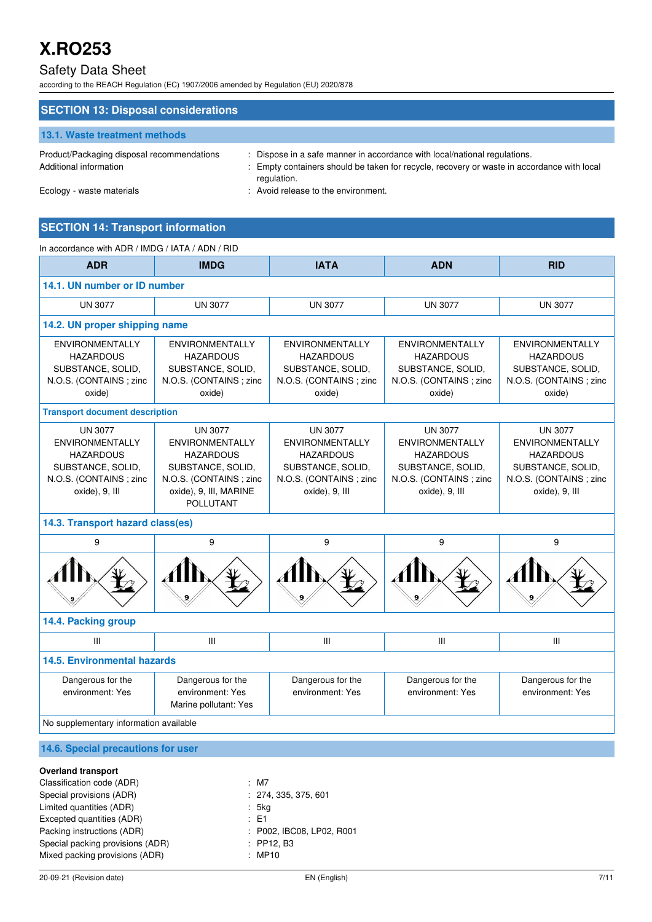## Safety Data Sheet

according to the REACH Regulation (EC) 1907/2006 amended by Regulation (EU) 2020/878

| <b>SECTION 13: Disposal considerations</b>                           |                                                                                                                                                                                        |
|----------------------------------------------------------------------|----------------------------------------------------------------------------------------------------------------------------------------------------------------------------------------|
| <b>13.1. Waste treatment methods</b>                                 |                                                                                                                                                                                        |
| Product/Packaging disposal recommendations<br>Additional information | : Dispose in a safe manner in accordance with local/national regulations.<br>: Empty containers should be taken for recycle, recovery or waste in accordance with local<br>regulation. |
| Ecology - waste materials                                            | : Avoid release to the environment.                                                                                                                                                    |

## **SECTION 14: Transport information**

| In accordance with ADR / IMDG / IATA / ADN / RID                                                                              |                                                                                                                                                           |                                                                                                                               |                                                                                                                               |                                                                                                                               |  |  |
|-------------------------------------------------------------------------------------------------------------------------------|-----------------------------------------------------------------------------------------------------------------------------------------------------------|-------------------------------------------------------------------------------------------------------------------------------|-------------------------------------------------------------------------------------------------------------------------------|-------------------------------------------------------------------------------------------------------------------------------|--|--|
| <b>ADR</b>                                                                                                                    | <b>IMDG</b>                                                                                                                                               | <b>IATA</b>                                                                                                                   | <b>ADN</b>                                                                                                                    | <b>RID</b>                                                                                                                    |  |  |
| 14.1. UN number or ID number                                                                                                  |                                                                                                                                                           |                                                                                                                               |                                                                                                                               |                                                                                                                               |  |  |
| <b>UN 3077</b>                                                                                                                | <b>UN 3077</b>                                                                                                                                            | <b>UN 3077</b>                                                                                                                | <b>UN 3077</b>                                                                                                                | <b>UN 3077</b>                                                                                                                |  |  |
|                                                                                                                               | 14.2. UN proper shipping name                                                                                                                             |                                                                                                                               |                                                                                                                               |                                                                                                                               |  |  |
| <b>ENVIRONMENTALLY</b><br><b>HAZARDOUS</b><br>SUBSTANCE, SOLID,<br>N.O.S. (CONTAINS; zinc.<br>oxide)                          | <b>ENVIRONMENTALLY</b><br><b>HAZARDOUS</b><br>SUBSTANCE, SOLID,<br>N.O.S. (CONTAINS; zinc<br>oxide)                                                       | <b>ENVIRONMENTALLY</b><br><b>HAZARDOUS</b><br>SUBSTANCE, SOLID,<br>N.O.S. (CONTAINS; zinc.<br>oxide)                          | <b>ENVIRONMENTALLY</b><br><b>HAZARDOUS</b><br>SUBSTANCE, SOLID,<br>N.O.S. (CONTAINS; zinc<br>oxide)                           | <b>ENVIRONMENTALLY</b><br><b>HAZARDOUS</b><br>SUBSTANCE, SOLID,<br>N.O.S. (CONTAINS; zinc<br>oxide)                           |  |  |
| <b>Transport document description</b>                                                                                         |                                                                                                                                                           |                                                                                                                               |                                                                                                                               |                                                                                                                               |  |  |
| <b>UN 3077</b><br><b>ENVIRONMENTALLY</b><br><b>HAZARDOUS</b><br>SUBSTANCE, SOLID,<br>N.O.S. (CONTAINS; zinc<br>oxide), 9, III | <b>UN 3077</b><br><b>ENVIRONMENTALLY</b><br><b>HAZARDOUS</b><br>SUBSTANCE, SOLID,<br>N.O.S. (CONTAINS; zinc<br>oxide), 9, III, MARINE<br><b>POLLUTANT</b> | <b>UN 3077</b><br><b>ENVIRONMENTALLY</b><br><b>HAZARDOUS</b><br>SUBSTANCE, SOLID,<br>N.O.S. (CONTAINS; zinc<br>oxide), 9, III | <b>UN 3077</b><br><b>ENVIRONMENTALLY</b><br><b>HAZARDOUS</b><br>SUBSTANCE, SOLID,<br>N.O.S. (CONTAINS; zinc<br>oxide), 9, III | <b>UN 3077</b><br><b>ENVIRONMENTALLY</b><br><b>HAZARDOUS</b><br>SUBSTANCE, SOLID,<br>N.O.S. (CONTAINS; zinc<br>oxide), 9, III |  |  |
| 14.3. Transport hazard class(es)                                                                                              |                                                                                                                                                           |                                                                                                                               |                                                                                                                               |                                                                                                                               |  |  |
| 9                                                                                                                             | 9                                                                                                                                                         | 9                                                                                                                             | 9                                                                                                                             | 9                                                                                                                             |  |  |
|                                                                                                                               |                                                                                                                                                           |                                                                                                                               |                                                                                                                               |                                                                                                                               |  |  |
| 14.4. Packing group                                                                                                           |                                                                                                                                                           |                                                                                                                               |                                                                                                                               |                                                                                                                               |  |  |
| Ш                                                                                                                             | III                                                                                                                                                       | III                                                                                                                           | Ш                                                                                                                             | Ш                                                                                                                             |  |  |
| <b>14.5. Environmental hazards</b>                                                                                            |                                                                                                                                                           |                                                                                                                               |                                                                                                                               |                                                                                                                               |  |  |
| Dangerous for the<br>environment: Yes                                                                                         | Dangerous for the<br>environment: Yes<br>Marine pollutant: Yes                                                                                            | Dangerous for the<br>environment: Yes                                                                                         | Dangerous for the<br>environment: Yes                                                                                         | Dangerous for the<br>environment: Yes                                                                                         |  |  |
| No supplementary information available                                                                                        |                                                                                                                                                           |                                                                                                                               |                                                                                                                               |                                                                                                                               |  |  |
| 14.6. Special precautions for user                                                                                            |                                                                                                                                                           |                                                                                                                               |                                                                                                                               |                                                                                                                               |  |  |
|                                                                                                                               |                                                                                                                                                           |                                                                                                                               |                                                                                                                               |                                                                                                                               |  |  |

| <b>Overland transport</b>        |                           |
|----------------------------------|---------------------------|
| Classification code (ADR)        | $:$ M7                    |
| Special provisions (ADR)         | : 274, 335, 375, 601      |
| Limited quantities (ADR)         | : 5kg                     |
| Excepted quantities (ADR)        | $\pm$ E1                  |
| Packing instructions (ADR)       | : P002, IBC08, LP02, R001 |
| Special packing provisions (ADR) | $:$ PP12. B3              |
| Mixed packing provisions (ADR)   | : MP10                    |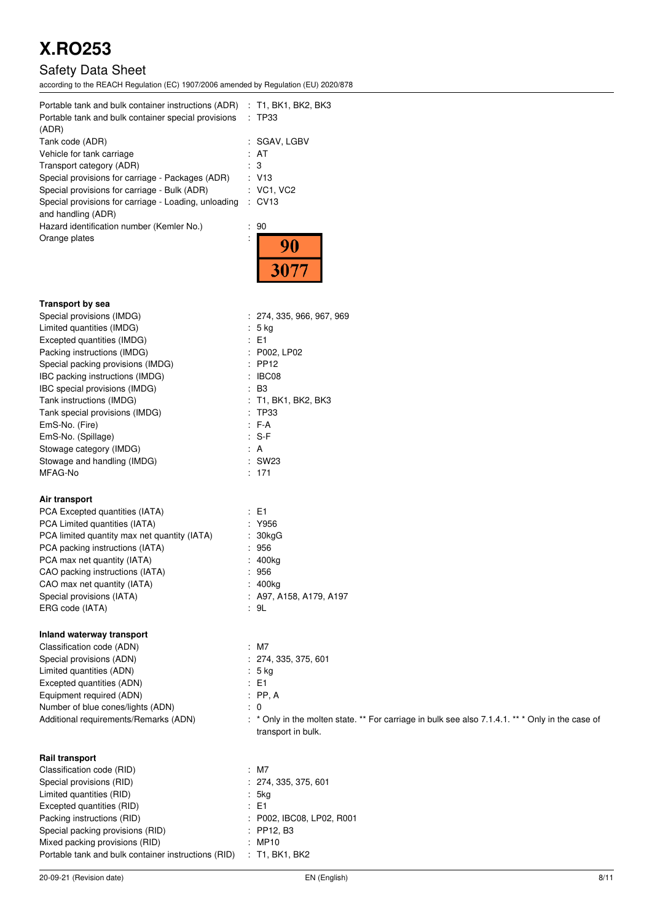## Safety Data Sheet

according to the REACH Regulation (EC) 1907/2006 amended by Regulation (EU) 2020/878

| Portable tank and bulk container instructions (ADR)<br>Portable tank and bulk container special provisions<br>(ADR) | $:$ T1, BK1, BK2, BK3<br>: TP33 |
|---------------------------------------------------------------------------------------------------------------------|---------------------------------|
| Tank code (ADR)                                                                                                     | : SGAV, LGBV                    |
| Vehicle for tank carriage                                                                                           | : AT                            |
| Transport category (ADR)                                                                                            | : 3                             |
| Special provisions for carriage - Packages (ADR)                                                                    | : V13                           |
| Special provisions for carriage - Bulk (ADR)                                                                        | : VC1, VC2                      |
| Special provisions for carriage - Loading, unloading<br>and handling (ADR)                                          | $:$ CV13                        |

Hazard identification number (Kemler No.) : Orange plates is a set of the set of the set of the set of the set of the set of the set of the set of the set of the set of the set of the set of the set of the set of the set of the set of the set of the set of the set o

| 90 |  |
|----|--|
|    |  |
|    |  |

## **Transport by sea**  Special provisions (IMDG)  $\qquad \qquad$  : 274, 335, 966, 967, 969 Limited quantities (IMDG) : 5 kg Excepted quantities (IMDG) : E1 Packing instructions (IMDG) : P002, LP02 Special packing provisions (IMDG) : PP12 IBC packing instructions (IMDG) : IBC08 IBC special provisions (IMDG) : B3 Tank instructions (IMDG) : T1, BK1, BK2, BK3 Tank special provisions (IMDG) : TP33<br>EmS-No. (Fire) : F-A EmS-No. (Fire) EmS-No. (Spillage) : S-F Stowage category (IMDG) **:** A Stowage and handling (IMDG) : SW23 MFAG-No : 171

## **Air transport**

| PCA Excepted quantities (IATA)               | $\pm$ E1                  |
|----------------------------------------------|---------------------------|
| PCA Limited quantities (IATA)                | : Y956                    |
| PCA limited quantity max net quantity (IATA) | $: 30$ kg $G$             |
| PCA packing instructions (IATA)              | : 956                     |
| PCA max net quantity (IATA)                  | : 400kg                   |
| CAO packing instructions (IATA)              | : 956                     |
| CAO max net quantity (IATA)                  | : 400kg                   |
| Special provisions (IATA)                    | $:$ A97, A158, A179, A197 |
| ERG code (IATA)                              | : 9L                      |
|                                              |                           |

transport in bulk.

## **Inland waterway transport**

Classification code (ADN) : M7<br>
Special provisions (ADN) : 274, 335, 375, 601 Special provisions (ADN) Limited quantities (ADN)  $\qquad \qquad$  : 5 kg Excepted quantities (ADN) : E1<br>
Equipment required (ADN) : PP, A Equipment required (ADN) Number of blue cones/lights (ADN) : 0 Additional requirements/Remarks (ADN) : \* Only in the molten state. \*\* For carriage in bulk see also 7.1.4.1. \*\* \* Only in the case of

## **Rail transport**

| $:$ M7                    |
|---------------------------|
| : 274, 335, 375, 601      |
| : 5kg                     |
| $\pm$ E1                  |
| : P002, IBC08, LP02, R001 |
| $:$ PP12. B3              |
| : MP10                    |
| $:$ T1, BK1, BK2          |
|                           |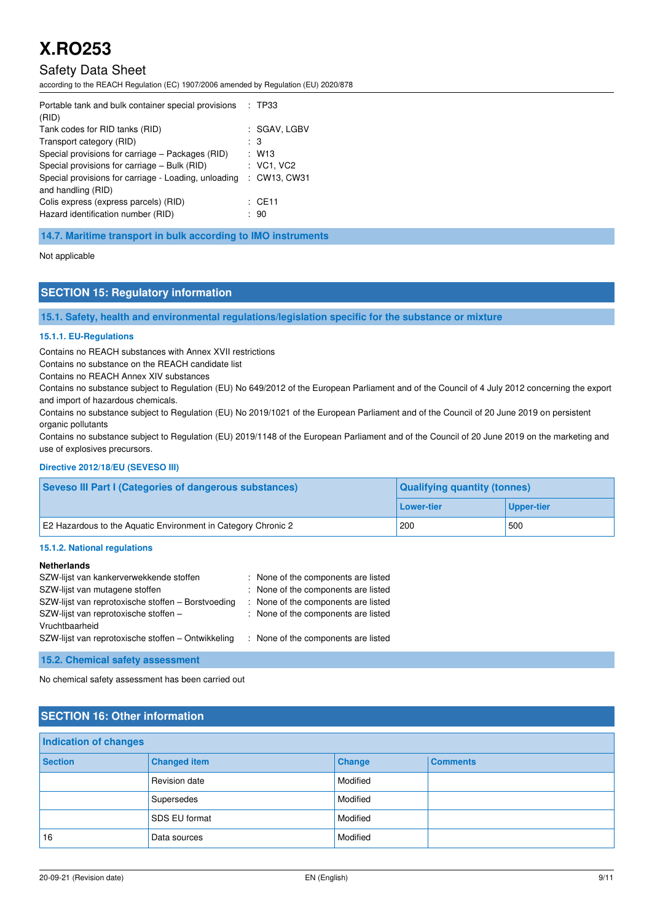## Safety Data Sheet

according to the REACH Regulation (EC) 1907/2006 amended by Regulation (EU) 2020/878

| Portable tank and bulk container special provisions  | : TP33       |
|------------------------------------------------------|--------------|
| (RID)                                                |              |
| Tank codes for RID tanks (RID)                       | : SGAV. LGBV |
| Transport category (RID)                             | : 3          |
| Special provisions for carriage – Packages (RID)     | : W13        |
| Special provisions for carriage - Bulk (RID)         | : VC1, VC2   |
| Special provisions for carriage - Loading, unloading | : CW13, CW31 |
| and handling (RID)                                   |              |
| Colis express (express parcels) (RID)                | : CE11       |
| Hazard identification number (RID)                   | -90          |

**14.7. Maritime transport in bulk according to IMO instruments** 

Not applicable

## **SECTION 15: Regulatory information**

**15.1. Safety, health and environmental regulations/legislation specific for the substance or mixture** 

#### **15.1.1. EU-Regulations**

Contains no REACH substances with Annex XVII restrictions

Contains no substance on the REACH candidate list

Contains no REACH Annex XIV substances

Contains no substance subject to Regulation (EU) No 649/2012 of the European Parliament and of the Council of 4 July 2012 concerning the export and import of hazardous chemicals.

Contains no substance subject to Regulation (EU) No 2019/1021 of the European Parliament and of the Council of 20 June 2019 on persistent organic pollutants

Contains no substance subject to Regulation (EU) 2019/1148 of the European Parliament and of the Council of 20 June 2019 on the marketing and use of explosives precursors.

### **Directive 2012/18/EU (SEVESO III)**

| <b>Seveso III Part I (Categories of dangerous substances)</b> | <b>Qualifying quantity (tonnes)</b> |            |  |
|---------------------------------------------------------------|-------------------------------------|------------|--|
|                                                               | l Lower-tier                        | Upper-tier |  |
| E2 Hazardous to the Aquatic Environment in Category Chronic 2 | 200                                 | 500        |  |

### **15.1.2. National regulations**

### **Netherlands**

| SZW-lijst van kankerverwekkende stoffen            | : None of the components are listed |
|----------------------------------------------------|-------------------------------------|
| SZW-lijst van mutagene stoffen                     | : None of the components are listed |
| SZW-lijst van reprotoxische stoffen - Borstvoeding | : None of the components are listed |
| SZW-lijst van reprotoxische stoffen -              | : None of the components are listed |
| Vruchtbaarheid                                     |                                     |
| SZW-lijst van reprotoxische stoffen – Ontwikkeling | : None of the components are listed |
|                                                    |                                     |

**15.2. Chemical safety assessment** 

No chemical safety assessment has been carried out

## **SECTION 16: Other information**

| <b>Indication of changes</b> |                     |          |                 |  |
|------------------------------|---------------------|----------|-----------------|--|
| <b>Section</b>               | <b>Changed item</b> | Change   | <b>Comments</b> |  |
|                              | Revision date       | Modified |                 |  |
|                              | Supersedes          | Modified |                 |  |
|                              | SDS EU format       | Modified |                 |  |
| 16                           | Data sources        | Modified |                 |  |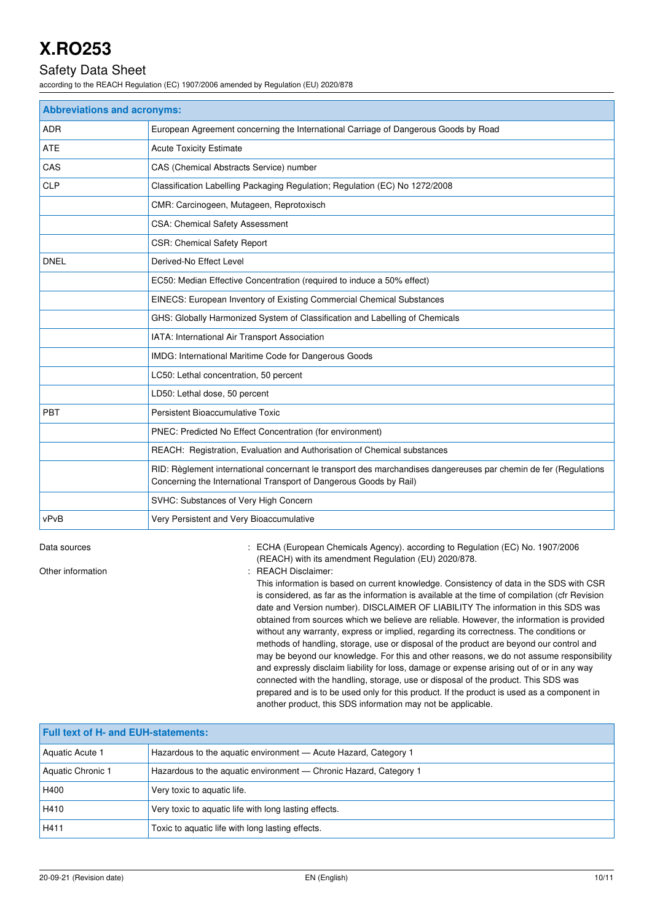## Safety Data Sheet

according to the REACH Regulation (EC) 1907/2006 amended by Regulation (EU) 2020/878

| <b>Abbreviations and acronyms:</b> |                                                                                                                                                                                        |  |  |
|------------------------------------|----------------------------------------------------------------------------------------------------------------------------------------------------------------------------------------|--|--|
| <b>ADR</b>                         | European Agreement concerning the International Carriage of Dangerous Goods by Road                                                                                                    |  |  |
| ATE                                | <b>Acute Toxicity Estimate</b>                                                                                                                                                         |  |  |
| CAS                                | CAS (Chemical Abstracts Service) number                                                                                                                                                |  |  |
| <b>CLP</b>                         | Classification Labelling Packaging Regulation; Regulation (EC) No 1272/2008                                                                                                            |  |  |
|                                    | CMR: Carcinogeen, Mutageen, Reprotoxisch                                                                                                                                               |  |  |
|                                    | <b>CSA: Chemical Safety Assessment</b>                                                                                                                                                 |  |  |
|                                    | <b>CSR: Chemical Safety Report</b>                                                                                                                                                     |  |  |
| <b>DNEL</b>                        | Derived-No Effect Level                                                                                                                                                                |  |  |
|                                    | EC50: Median Effective Concentration (required to induce a 50% effect)                                                                                                                 |  |  |
|                                    | EINECS: European Inventory of Existing Commercial Chemical Substances                                                                                                                  |  |  |
|                                    | GHS: Globally Harmonized System of Classification and Labelling of Chemicals                                                                                                           |  |  |
|                                    | IATA: International Air Transport Association                                                                                                                                          |  |  |
|                                    | IMDG: International Maritime Code for Dangerous Goods                                                                                                                                  |  |  |
|                                    | LC50: Lethal concentration, 50 percent                                                                                                                                                 |  |  |
|                                    | LD50: Lethal dose, 50 percent                                                                                                                                                          |  |  |
| <b>PBT</b>                         | Persistent Bioaccumulative Toxic                                                                                                                                                       |  |  |
|                                    | PNEC: Predicted No Effect Concentration (for environment)                                                                                                                              |  |  |
|                                    | REACH: Registration, Evaluation and Authorisation of Chemical substances                                                                                                               |  |  |
|                                    | RID: Règlement international concernant le transport des marchandises dangereuses par chemin de fer (Regulations<br>Concerning the International Transport of Dangerous Goods by Rail) |  |  |
|                                    | SVHC: Substances of Very High Concern                                                                                                                                                  |  |  |
| vPvB                               | Very Persistent and Very Bioaccumulative                                                                                                                                               |  |  |

Data sources **1997/2006** : ECHA (European Chemicals Agency). according to Regulation (EC) No. 1907/2006 (REACH) with its amendment Regulation (EU) 2020/878.

Other information  $\qquad \qquad$ : REACH Disclaimer:

This information is based on current knowledge. Consistency of data in the SDS with CSR is considered, as far as the information is available at the time of compilation (cfr Revision date and Version number). DISCLAIMER OF LIABILITY The information in this SDS was obtained from sources which we believe are reliable. However, the information is provided without any warranty, express or implied, regarding its correctness. The conditions or methods of handling, storage, use or disposal of the product are beyond our control and may be beyond our knowledge. For this and other reasons, we do not assume responsibility and expressly disclaim liability for loss, damage or expense arising out of or in any way connected with the handling, storage, use or disposal of the product. This SDS was prepared and is to be used only for this product. If the product is used as a component in another product, this SDS information may not be applicable.

| <b>Full text of H- and EUH-statements:</b> |                                                                   |  |  |
|--------------------------------------------|-------------------------------------------------------------------|--|--|
| Aquatic Acute 1                            | Hazardous to the aguatic environment - Acute Hazard, Category 1   |  |  |
| Aquatic Chronic 1                          | Hazardous to the aquatic environment - Chronic Hazard, Category 1 |  |  |
| H400                                       | Very toxic to aquatic life.                                       |  |  |
| H410                                       | Very toxic to aquatic life with long lasting effects.             |  |  |
| H411                                       | Toxic to aquatic life with long lasting effects.                  |  |  |